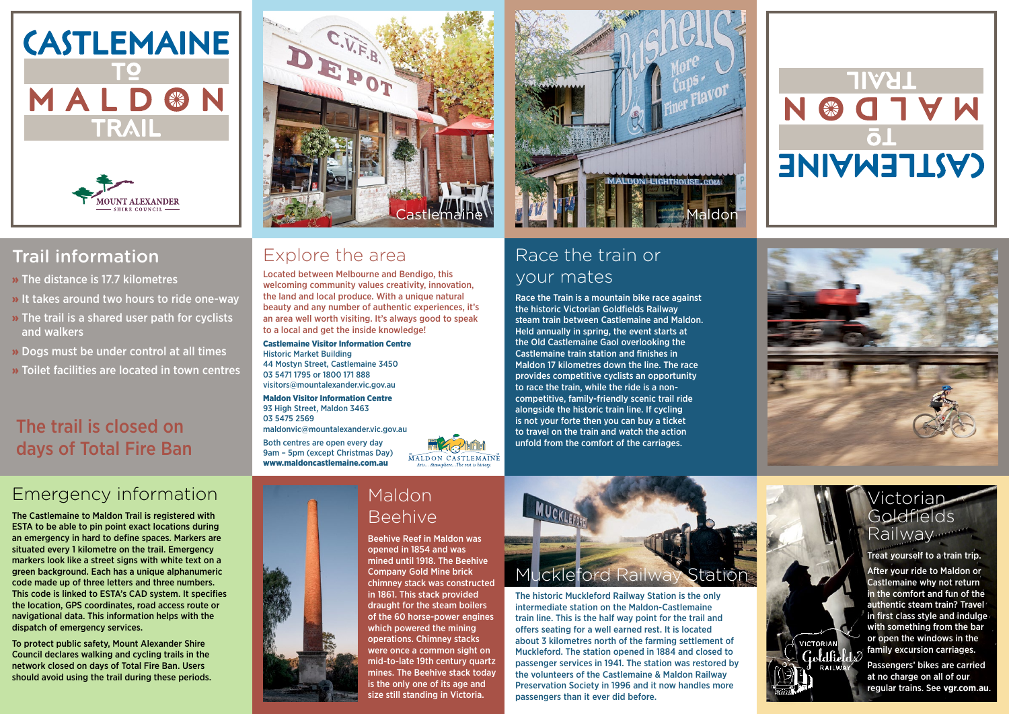# Emergency information

The Castlemaine to Maldon Trail is registered with ESTA to be able to pin point exact locations during an emergency in hard to define spaces. Markers are situated every 1 kilometre on the trail. Emergency markers look like a street signs with white text on a green background. Each has a unique alphanumeric code made up of three letters and three numbers. This code is linked to ESTA's CAD system. It specifies the location, GPS coordinates, road access route or navigational data. This information helps with the dispatch of emergency services.

To protect public safety, Mount Alexander Shire Council declares walking and cycling trails in the network closed on days of Total Fire Ban. Users should avoid using the trail during these periods.



#### Explore the area

Located between Melbourne and Bendigo, this welcoming community values creativity, innovation, the land and local produce. With a unique natural beauty and any number of authentic experiences, it's an area well worth visiting. It's always good to speak to a local and get the inside knowledge!

Castlemaine Visitor Information Centre Historic Market Building 44 Mostyn Street, Castlemaine 3450 03 5471 1795 or 1800 171 888 visitors@mountalexander.vic.gov.au

Maldon Visitor Information Centre 93 High Street, Maldon 3463 03 5475 2569

maldonvic@mountalexander.vic.gov.au

Both centres are open every day 9am – 5pm (except Christmas Day) www.maldoncastlemaine.com.au



## Race the train or your mates

#### Victorian Goldfields Railway

Race the Train is a mountain bike race against the historic Victorian Goldfields Railway steam train between Castlemaine and Maldon. Held annually in spring, the event starts at the Old Castlemaine Gaol overlooking the Castlemaine train station and finishes in Maldon 17 kilometres down the line. The race provides competitive cyclists an opportunity to race the train, while the ride is a noncompetitive, family-friendly scenic trail ride alongside the historic train line. If cycling is not your forte then you can buy a ticket to travel on the train and watch the action unfold from the comfort of the carriages.

### Maldon Beehive

Beehive Reef in Maldon was opened in 1854 and was mined until 1918. The Beehive Company Gold Mine brick chimney stack was constructed in 1861. This stack provided draught for the steam boilers of the 60 horse-power engines which powered the mining operations. Chimney stacks were once a common sight on mid-to-late 19th century quartz mines. The Beehive stack today is the only one of its age and size still standing in Victoria.



The historic Muckleford Railway Station is the only intermediate station on the Maldon-Castlemaine train line. This is the half way point for the trail and offers seating for a well earned rest. It is located about 3 kilometres north of the farming settlement of Muckleford. The station opened in 1884 and closed to passenger services in 1941. The station was restored by the volunteers of the Castlemaine & Maldon Railway Preservation Society in 1996 and it now handles more passengers than it ever did before.



# **TRAIL All'A**  $\blacktriangledown$ **CASTLEMAINE**



Treat yourself to a train trip.

After your ride to Maldon or Castlemaine why not return in the comfort and fun of the authentic steam train? Travel in first class style and indulge with something from the bar or open the windows in the family excursion carriages.

**VICTORIAN** 

**RAILWA** 

Passengers' bikes are carried at no charge on all of our regular trains. See **vgr.com.au**.





### Trail information

- » The distance is 17.7 kilometres
- » It takes around two hours to ride one-way
- » The trail is a shared user path for cyclists and walkers
- » Dogs must be under control at all times
- » Toilet facilities are located in town centres

# The trail is closed on days of Total Fire Ban